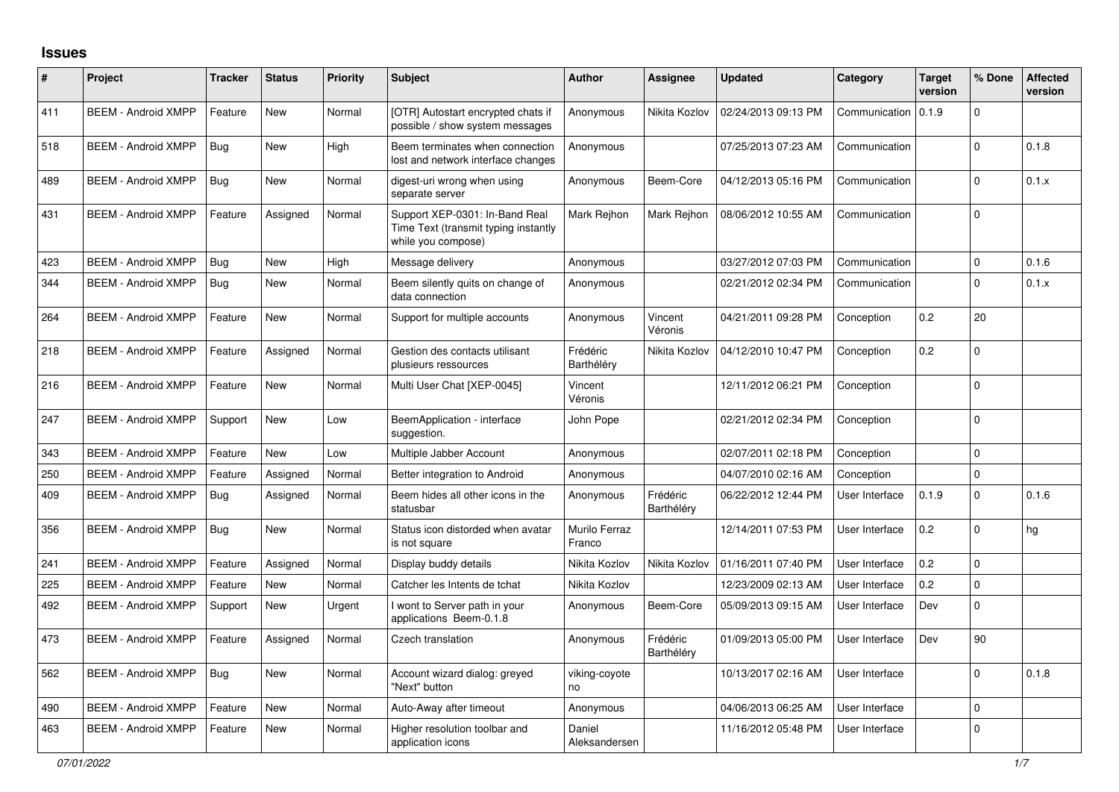## **Issues**

| #   | Project                    | <b>Tracker</b> | <b>Status</b> | <b>Priority</b> | <b>Subject</b>                                                                               | <b>Author</b>           | <b>Assignee</b>        | <b>Updated</b>      | Category       | <b>Target</b><br>version | % Done      | <b>Affected</b><br>version |
|-----|----------------------------|----------------|---------------|-----------------|----------------------------------------------------------------------------------------------|-------------------------|------------------------|---------------------|----------------|--------------------------|-------------|----------------------------|
| 411 | <b>BEEM - Android XMPP</b> | Feature        | New           | Normal          | [OTR] Autostart encrypted chats if<br>possible / show system messages                        | Anonymous               | Nikita Kozlov          | 02/24/2013 09:13 PM | Communication  | 0.1.9                    | $\Omega$    |                            |
| 518 | <b>BEEM - Android XMPP</b> | Bug            | New           | High            | Beem terminates when connection<br>lost and network interface changes                        | Anonymous               |                        | 07/25/2013 07:23 AM | Communication  |                          | $\mathbf 0$ | 0.1.8                      |
| 489 | <b>BEEM - Android XMPP</b> | <b>Bug</b>     | New           | Normal          | digest-uri wrong when using<br>separate server                                               | Anonymous               | Beem-Core              | 04/12/2013 05:16 PM | Communication  |                          | $\Omega$    | 0.1.x                      |
| 431 | <b>BEEM - Android XMPP</b> | Feature        | Assigned      | Normal          | Support XEP-0301: In-Band Real<br>Time Text (transmit typing instantly<br>while you compose) | Mark Rejhon             | Mark Rejhon            | 08/06/2012 10:55 AM | Communication  |                          | $\Omega$    |                            |
| 423 | <b>BEEM - Android XMPP</b> | Bug            | New           | High            | Message delivery                                                                             | Anonymous               |                        | 03/27/2012 07:03 PM | Communication  |                          | $\mathbf 0$ | 0.1.6                      |
| 344 | <b>BEEM - Android XMPP</b> | Bug            | New           | Normal          | Beem silently quits on change of<br>data connection                                          | Anonymous               |                        | 02/21/2012 02:34 PM | Communication  |                          | $\Omega$    | 0.1.x                      |
| 264 | <b>BEEM - Android XMPP</b> | Feature        | <b>New</b>    | Normal          | Support for multiple accounts                                                                | Anonymous               | Vincent<br>Véronis     | 04/21/2011 09:28 PM | Conception     | 0.2                      | 20          |                            |
| 218 | <b>BEEM - Android XMPP</b> | Feature        | Assigned      | Normal          | Gestion des contacts utilisant<br>plusieurs ressources                                       | Frédéric<br>Barthéléry  | Nikita Kozlov          | 04/12/2010 10:47 PM | Conception     | 0.2                      | $\mathbf 0$ |                            |
| 216 | <b>BEEM - Android XMPP</b> | Feature        | <b>New</b>    | Normal          | Multi User Chat [XEP-0045]                                                                   | Vincent<br>Véronis      |                        | 12/11/2012 06:21 PM | Conception     |                          | $\Omega$    |                            |
| 247 | <b>BEEM - Android XMPP</b> | Support        | <b>New</b>    | Low             | BeemApplication - interface<br>suggestion.                                                   | John Pope               |                        | 02/21/2012 02:34 PM | Conception     |                          | $\mathbf 0$ |                            |
| 343 | <b>BEEM - Android XMPP</b> | Feature        | <b>New</b>    | Low             | Multiple Jabber Account                                                                      | Anonymous               |                        | 02/07/2011 02:18 PM | Conception     |                          | $\mathbf 0$ |                            |
| 250 | <b>BEEM - Android XMPP</b> | Feature        | Assigned      | Normal          | Better integration to Android                                                                | Anonymous               |                        | 04/07/2010 02:16 AM | Conception     |                          | $\Omega$    |                            |
| 409 | <b>BEEM - Android XMPP</b> | Bug            | Assigned      | Normal          | Beem hides all other icons in the<br>statusbar                                               | Anonymous               | Frédéric<br>Barthéléry | 06/22/2012 12:44 PM | User Interface | 0.1.9                    | $\Omega$    | 0.1.6                      |
| 356 | <b>BEEM - Android XMPP</b> | <b>Bug</b>     | New           | Normal          | Status icon distorded when avatar<br>is not square                                           | Murilo Ferraz<br>Franco |                        | 12/14/2011 07:53 PM | User Interface | 0.2                      | $\Omega$    | hg                         |
| 241 | <b>BEEM - Android XMPP</b> | Feature        | Assigned      | Normal          | Display buddy details                                                                        | Nikita Kozlov           | Nikita Kozlov          | 01/16/2011 07:40 PM | User Interface | 0.2                      | $\Omega$    |                            |
| 225 | <b>BEEM - Android XMPP</b> | Feature        | <b>New</b>    | Normal          | Catcher les Intents de tchat                                                                 | Nikita Kozlov           |                        | 12/23/2009 02:13 AM | User Interface | 0.2                      | $\Omega$    |                            |
| 492 | <b>BEEM - Android XMPP</b> | Support        | New           | Urgent          | I wont to Server path in your<br>applications Beem-0.1.8                                     | Anonymous               | Beem-Core              | 05/09/2013 09:15 AM | User Interface | Dev                      | $\mathsf 0$ |                            |
| 473 | <b>BEEM - Android XMPP</b> | Feature        | Assigned      | Normal          | Czech translation                                                                            | Anonymous               | Frédéric<br>Barthéléry | 01/09/2013 05:00 PM | User Interface | Dev                      | 90          |                            |
| 562 | <b>BEEM - Android XMPP</b> | Bug            | New           | Normal          | Account wizard dialog: greyed<br>"Next" button                                               | viking-coyote<br>no     |                        | 10/13/2017 02:16 AM | User Interface |                          | $\Omega$    | 0.1.8                      |
| 490 | <b>BEEM - Android XMPP</b> | Feature        | New           | Normal          | Auto-Away after timeout                                                                      | Anonymous               |                        | 04/06/2013 06:25 AM | User Interface |                          | $\mathbf 0$ |                            |
| 463 | <b>BEEM - Android XMPP</b> | Feature        | New           | Normal          | Higher resolution toolbar and<br>application icons                                           | Daniel<br>Aleksandersen |                        | 11/16/2012 05:48 PM | User Interface |                          | $\mathbf 0$ |                            |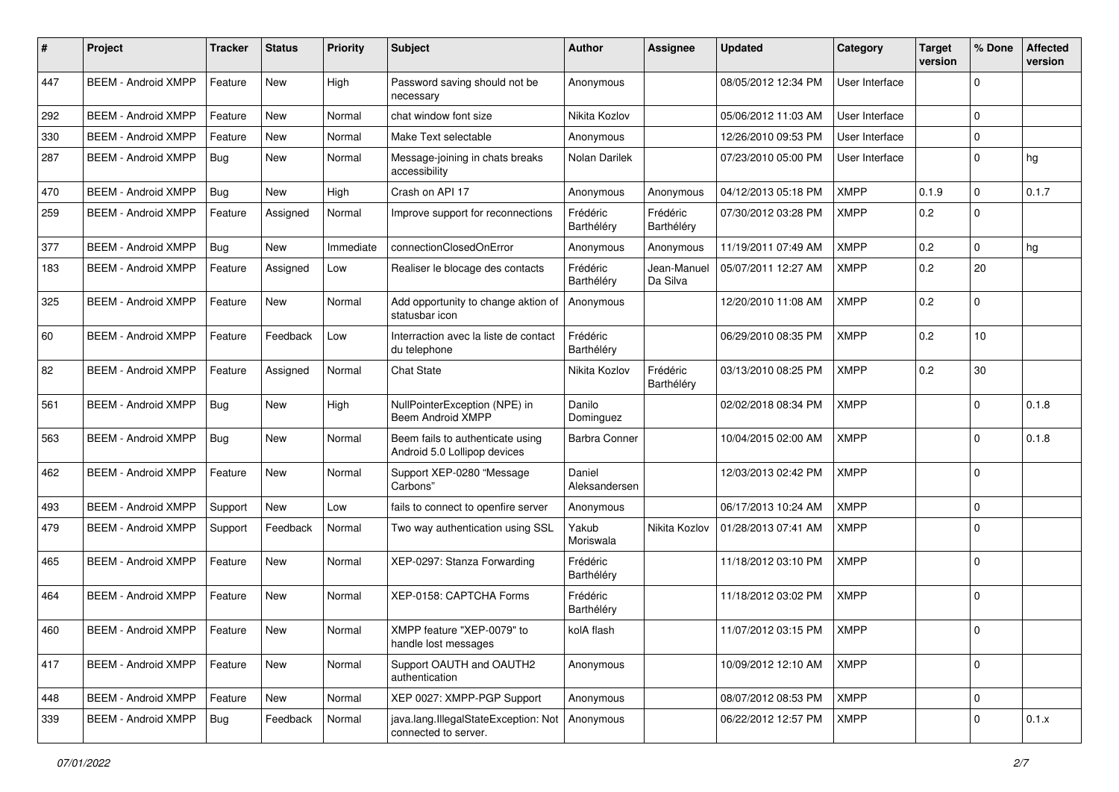| #   | Project                    | <b>Tracker</b> | <b>Status</b> | <b>Priority</b> | <b>Subject</b>                                                   | <b>Author</b>           | Assignee                | <b>Updated</b>      | Category       | <b>Target</b><br>version | % Done      | <b>Affected</b><br>version |
|-----|----------------------------|----------------|---------------|-----------------|------------------------------------------------------------------|-------------------------|-------------------------|---------------------|----------------|--------------------------|-------------|----------------------------|
| 447 | <b>BEEM - Android XMPP</b> | Feature        | <b>New</b>    | High            | Password saving should not be<br>necessary                       | Anonymous               |                         | 08/05/2012 12:34 PM | User Interface |                          | $\Omega$    |                            |
| 292 | <b>BEEM - Android XMPP</b> | Feature        | <b>New</b>    | Normal          | chat window font size                                            | Nikita Kozlov           |                         | 05/06/2012 11:03 AM | User Interface |                          | $\Omega$    |                            |
| 330 | <b>BEEM - Android XMPP</b> | Feature        | New           | Normal          | Make Text selectable                                             | Anonymous               |                         | 12/26/2010 09:53 PM | User Interface |                          | $\Omega$    |                            |
| 287 | <b>BEEM - Android XMPP</b> | Bug            | New           | Normal          | Message-joining in chats breaks<br>accessibility                 | Nolan Darilek           |                         | 07/23/2010 05:00 PM | User Interface |                          | $\Omega$    | hg                         |
| 470 | <b>BEEM - Android XMPP</b> | Bug            | New           | High            | Crash on API 17                                                  | Anonymous               | Anonymous               | 04/12/2013 05:18 PM | <b>XMPP</b>    | 0.1.9                    | $\Omega$    | 0.1.7                      |
| 259 | <b>BEEM - Android XMPP</b> | Feature        | Assigned      | Normal          | Improve support for reconnections                                | Frédéric<br>Barthéléry  | Frédéric<br>Barthéléry  | 07/30/2012 03:28 PM | <b>XMPP</b>    | 0.2                      | $\Omega$    |                            |
| 377 | <b>BEEM - Android XMPP</b> | Bug            | <b>New</b>    | Immediate       | connectionClosedOnError                                          | Anonymous               | Anonymous               | 11/19/2011 07:49 AM | XMPP           | 0.2                      | $\Omega$    | hg                         |
| 183 | <b>BEEM - Android XMPP</b> | Feature        | Assigned      | Low             | Realiser le blocage des contacts                                 | Frédéric<br>Barthéléry  | Jean-Manuel<br>Da Silva | 05/07/2011 12:27 AM | XMPP           | 0.2                      | 20          |                            |
| 325 | <b>BEEM - Android XMPP</b> | Feature        | <b>New</b>    | Normal          | Add opportunity to change aktion of<br>statusbar icon            | Anonymous               |                         | 12/20/2010 11:08 AM | <b>XMPP</b>    | 0.2                      | $\Omega$    |                            |
| 60  | <b>BEEM - Android XMPP</b> | Feature        | Feedback      | Low             | Interraction avec la liste de contact<br>du telephone            | Frédéric<br>Barthélérv  |                         | 06/29/2010 08:35 PM | <b>XMPP</b>    | 0.2                      | 10          |                            |
| 82  | <b>BEEM - Android XMPP</b> | Feature        | Assigned      | Normal          | <b>Chat State</b>                                                | Nikita Kozlov           | Frédéric<br>Barthéléry  | 03/13/2010 08:25 PM | XMPP           | 0.2                      | 30          |                            |
| 561 | <b>BEEM - Android XMPP</b> | Bug            | <b>New</b>    | High            | NullPointerException (NPE) in<br>Beem Android XMPP               | Danilo<br>Dominguez     |                         | 02/02/2018 08:34 PM | <b>XMPP</b>    |                          | $\Omega$    | 0.1.8                      |
| 563 | <b>BEEM - Android XMPP</b> | Bug            | New           | Normal          | Beem fails to authenticate using<br>Android 5.0 Lollipop devices | <b>Barbra Conner</b>    |                         | 10/04/2015 02:00 AM | <b>XMPP</b>    |                          | $\Omega$    | 0.1.8                      |
| 462 | <b>BEEM - Android XMPP</b> | Feature        | New           | Normal          | Support XEP-0280 "Message<br>Carbons"                            | Daniel<br>Aleksandersen |                         | 12/03/2013 02:42 PM | <b>XMPP</b>    |                          | $\Omega$    |                            |
| 493 | <b>BEEM - Android XMPP</b> | Support        | New           | Low             | fails to connect to openfire server                              | Anonymous               |                         | 06/17/2013 10:24 AM | <b>XMPP</b>    |                          | $\Omega$    |                            |
| 479 | <b>BEEM - Android XMPP</b> | Support        | Feedback      | Normal          | Two way authentication using SSL                                 | Yakub<br>Moriswala      | Nikita Kozlov           | 01/28/2013 07:41 AM | <b>XMPP</b>    |                          | $\Omega$    |                            |
| 465 | <b>BEEM - Android XMPP</b> | Feature        | <b>New</b>    | Normal          | XEP-0297: Stanza Forwarding                                      | Frédéric<br>Barthéléry  |                         | 11/18/2012 03:10 PM | XMPP           |                          | $\Omega$    |                            |
| 464 | <b>BEEM - Android XMPP</b> | Feature        | <b>New</b>    | Normal          | XEP-0158: CAPTCHA Forms                                          | Frédéric<br>Barthéléry  |                         | 11/18/2012 03:02 PM | <b>XMPP</b>    |                          | $\Omega$    |                            |
| 460 | <b>BEEM - Android XMPP</b> | Feature        | <b>New</b>    | Normal          | XMPP feature "XEP-0079" to<br>handle lost messages               | kolA flash              |                         | 11/07/2012 03:15 PM | <b>XMPP</b>    |                          | 0 I         |                            |
| 417 | <b>BEEM - Android XMPP</b> | Feature        | New           | Normal          | Support OAUTH and OAUTH2<br>authentication                       | Anonymous               |                         | 10/09/2012 12:10 AM | <b>XMPP</b>    |                          | $\mathbf 0$ |                            |
| 448 | <b>BEEM - Android XMPP</b> | Feature        | New           | Normal          | XEP 0027: XMPP-PGP Support                                       | Anonymous               |                         | 08/07/2012 08:53 PM | <b>XMPP</b>    |                          | $\Omega$    |                            |
| 339 | <b>BEEM - Android XMPP</b> | Bug            | Feedback      | Normal          | java.lang.IllegalStateException: Not<br>connected to server.     | Anonymous               |                         | 06/22/2012 12:57 PM | <b>XMPP</b>    |                          | $\mathbf 0$ | 0.1.x                      |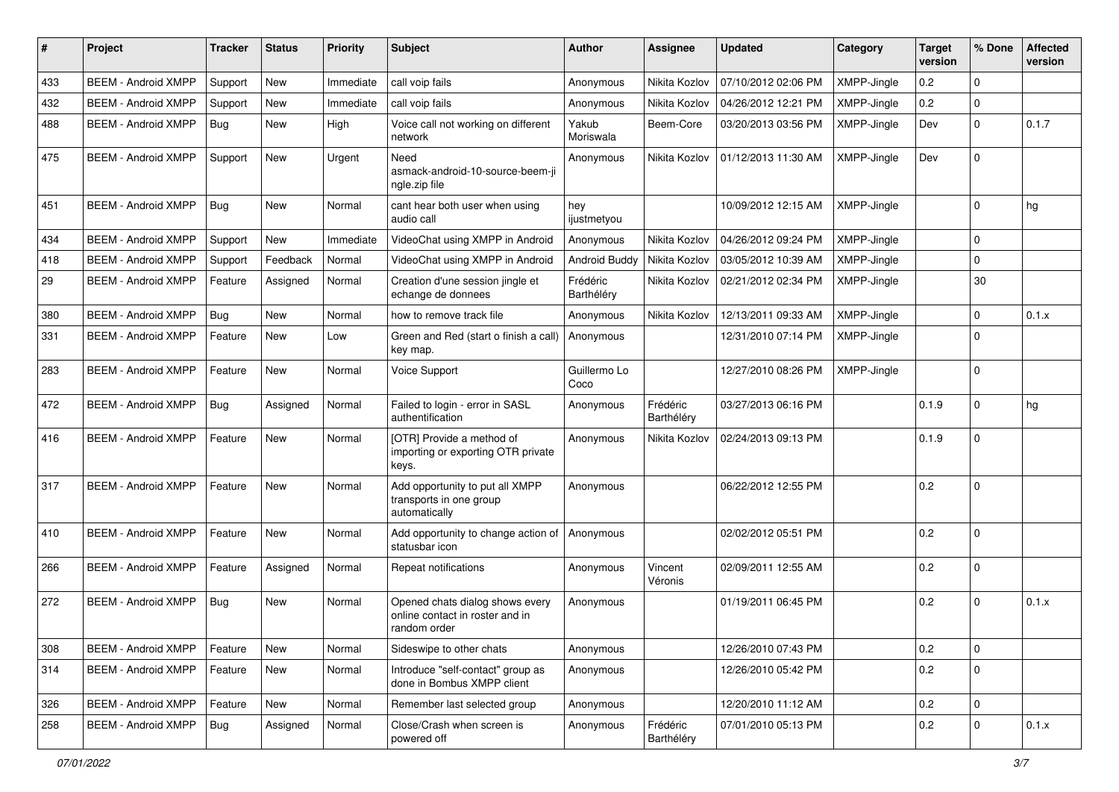| #   | Project                    | <b>Tracker</b> | <b>Status</b> | <b>Priority</b> | <b>Subject</b>                                                                     | Author                 | Assignee               | <b>Updated</b>      | Category    | <b>Target</b><br>version | % Done      | <b>Affected</b><br>version |
|-----|----------------------------|----------------|---------------|-----------------|------------------------------------------------------------------------------------|------------------------|------------------------|---------------------|-------------|--------------------------|-------------|----------------------------|
| 433 | <b>BEEM - Android XMPP</b> | Support        | New           | Immediate       | call voip fails                                                                    | Anonymous              | Nikita Kozlov          | 07/10/2012 02:06 PM | XMPP-Jingle | 0.2                      | 0           |                            |
| 432 | <b>BEEM - Android XMPP</b> | Support        | New           | Immediate       | call voip fails                                                                    | Anonymous              | Nikita Kozlov          | 04/26/2012 12:21 PM | XMPP-Jingle | 0.2                      | $\mathbf 0$ |                            |
| 488 | <b>BEEM - Android XMPP</b> | Bug            | New           | High            | Voice call not working on different<br>network                                     | Yakub<br>Moriswala     | Beem-Core              | 03/20/2013 03:56 PM | XMPP-Jingle | Dev                      | $\mathbf 0$ | 0.1.7                      |
| 475 | <b>BEEM - Android XMPP</b> | Support        | <b>New</b>    | Urgent          | Need<br>asmack-android-10-source-beem-ji<br>ngle.zip file                          | Anonymous              | Nikita Kozlov          | 01/12/2013 11:30 AM | XMPP-Jingle | Dev                      | $\Omega$    |                            |
| 451 | <b>BEEM - Android XMPP</b> | Bug            | <b>New</b>    | Normal          | cant hear both user when using<br>audio call                                       | hey<br>ijustmetyou     |                        | 10/09/2012 12:15 AM | XMPP-Jingle |                          | $\Omega$    | hg                         |
| 434 | <b>BEEM - Android XMPP</b> | Support        | <b>New</b>    | Immediate       | VideoChat using XMPP in Android                                                    | Anonymous              | Nikita Kozlov          | 04/26/2012 09:24 PM | XMPP-Jingle |                          | $\mathbf 0$ |                            |
| 418 | <b>BEEM - Android XMPP</b> | Support        | Feedback      | Normal          | VideoChat using XMPP in Android                                                    | Android Buddy          | Nikita Kozlov          | 03/05/2012 10:39 AM | XMPP-Jingle |                          | $\Omega$    |                            |
| 29  | <b>BEEM - Android XMPP</b> | Feature        | Assigned      | Normal          | Creation d'une session jingle et<br>echange de donnees                             | Frédéric<br>Barthéléry | Nikita Kozlov          | 02/21/2012 02:34 PM | XMPP-Jingle |                          | 30          |                            |
| 380 | <b>BEEM - Android XMPP</b> | Bug            | New           | Normal          | how to remove track file                                                           | Anonymous              | Nikita Kozlov          | 12/13/2011 09:33 AM | XMPP-Jingle |                          | $\mathbf 0$ | 0.1.x                      |
| 331 | <b>BEEM - Android XMPP</b> | Feature        | New           | Low             | Green and Red (start o finish a call)<br>key map.                                  | Anonymous              |                        | 12/31/2010 07:14 PM | XMPP-Jingle |                          | $\Omega$    |                            |
| 283 | <b>BEEM - Android XMPP</b> | Feature        | <b>New</b>    | Normal          | Voice Support                                                                      | Guillermo Lo<br>Coco   |                        | 12/27/2010 08:26 PM | XMPP-Jingle |                          | $\mathbf 0$ |                            |
| 472 | <b>BEEM - Android XMPP</b> | Bug            | Assigned      | Normal          | Failed to login - error in SASL<br>authentification                                | Anonymous              | Frédéric<br>Barthéléry | 03/27/2013 06:16 PM |             | 0.1.9                    | $\Omega$    | hg                         |
| 416 | <b>BEEM - Android XMPP</b> | Feature        | <b>New</b>    | Normal          | [OTR] Provide a method of<br>importing or exporting OTR private<br>keys.           | Anonymous              | Nikita Kozlov          | 02/24/2013 09:13 PM |             | 0.1.9                    | $\Omega$    |                            |
| 317 | <b>BEEM - Android XMPP</b> | Feature        | <b>New</b>    | Normal          | Add opportunity to put all XMPP<br>transports in one group<br>automatically        | Anonymous              |                        | 06/22/2012 12:55 PM |             | 0.2                      | $\Omega$    |                            |
| 410 | <b>BEEM - Android XMPP</b> | Feature        | <b>New</b>    | Normal          | Add opportunity to change action of<br>statusbar icon                              | Anonymous              |                        | 02/02/2012 05:51 PM |             | 0.2                      | $\Omega$    |                            |
| 266 | <b>BEEM - Android XMPP</b> | Feature        | Assigned      | Normal          | Repeat notifications                                                               | Anonymous              | Vincent<br>Véronis     | 02/09/2011 12:55 AM |             | 0.2                      | $\Omega$    |                            |
| 272 | <b>BEEM - Android XMPP</b> | Bug            | <b>New</b>    | Normal          | Opened chats dialog shows every<br>online contact in roster and in<br>random order | Anonymous              |                        | 01/19/2011 06:45 PM |             | 0.2                      | $\Omega$    | 0.1.x                      |
| 308 | <b>BEEM - Android XMPP</b> | Feature        | <b>New</b>    | Normal          | Sideswipe to other chats                                                           | Anonymous              |                        | 12/26/2010 07:43 PM |             | 0.2                      | $\mathbf 0$ |                            |
| 314 | <b>BEEM - Android XMPP</b> | Feature        | New           | Normal          | Introduce "self-contact" group as<br>done in Bombus XMPP client                    | Anonymous              |                        | 12/26/2010 05:42 PM |             | 0.2                      | 0           |                            |
| 326 | <b>BEEM - Android XMPP</b> | Feature        | New           | Normal          | Remember last selected group                                                       | Anonymous              |                        | 12/20/2010 11:12 AM |             | 0.2                      | $\mathbf 0$ |                            |
| 258 | <b>BEEM - Android XMPP</b> | <b>Bug</b>     | Assigned      | Normal          | Close/Crash when screen is<br>powered off                                          | Anonymous              | Frédéric<br>Barthéléry | 07/01/2010 05:13 PM |             | 0.2                      | $\mathbf 0$ | 0.1.x                      |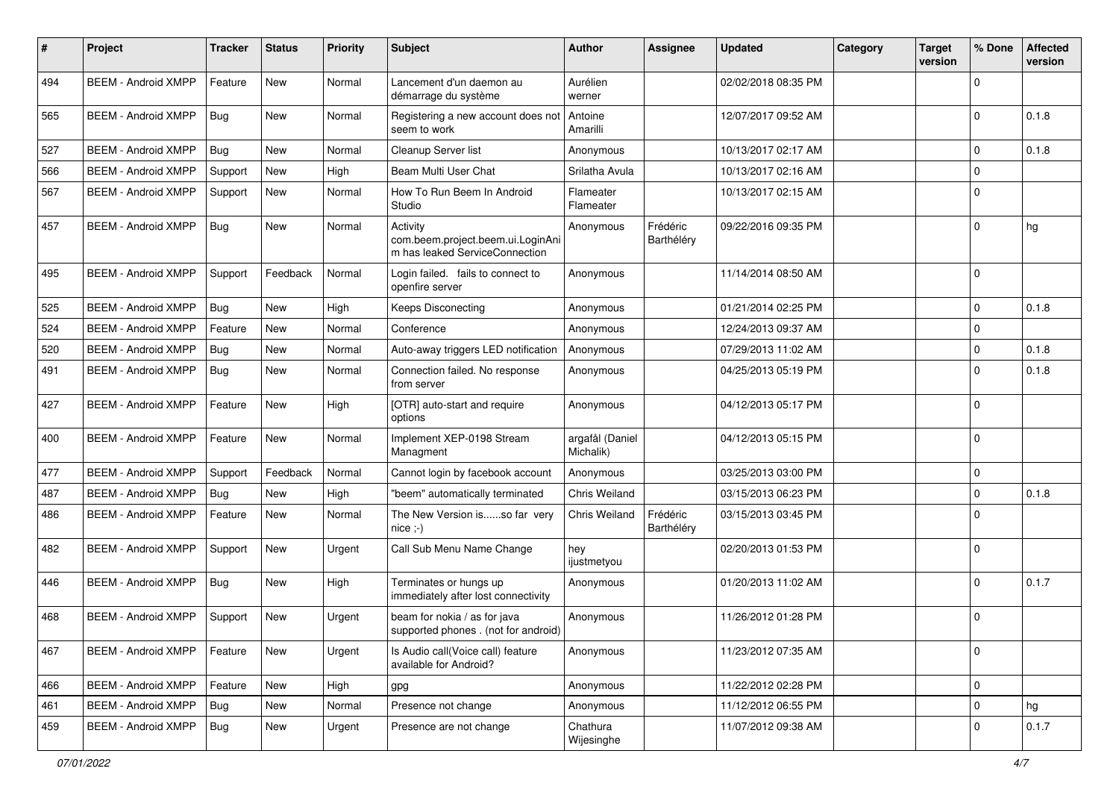| $\#$ | Project                    | <b>Tracker</b> | <b>Status</b> | <b>Priority</b> | Subject                                                                         | <b>Author</b>                | <b>Assignee</b>        | <b>Updated</b>      | Category | <b>Target</b><br>version | % Done      | <b>Affected</b><br>version |
|------|----------------------------|----------------|---------------|-----------------|---------------------------------------------------------------------------------|------------------------------|------------------------|---------------------|----------|--------------------------|-------------|----------------------------|
| 494  | <b>BEEM - Android XMPP</b> | Feature        | <b>New</b>    | Normal          | Lancement d'un daemon au<br>démarrage du système                                | Aurélien<br>werner           |                        | 02/02/2018 08:35 PM |          |                          | $\mathbf 0$ |                            |
| 565  | <b>BEEM - Android XMPP</b> | Bug            | New           | Normal          | Registering a new account does not<br>seem to work                              | Antoine<br>Amarilli          |                        | 12/07/2017 09:52 AM |          |                          | $\Omega$    | 0.1.8                      |
| 527  | <b>BEEM - Android XMPP</b> | Bug            | New           | Normal          | Cleanup Server list                                                             | Anonymous                    |                        | 10/13/2017 02:17 AM |          |                          | $\mathbf 0$ | 0.1.8                      |
| 566  | <b>BEEM - Android XMPP</b> | Support        | New           | High            | Beam Multi User Chat                                                            | Srilatha Avula               |                        | 10/13/2017 02:16 AM |          |                          | $\mathbf 0$ |                            |
| 567  | <b>BEEM - Android XMPP</b> | Support        | <b>New</b>    | Normal          | How To Run Beem In Android<br>Studio                                            | Flameater<br>Flameater       |                        | 10/13/2017 02:15 AM |          |                          | $\Omega$    |                            |
| 457  | <b>BEEM - Android XMPP</b> | Bug            | New           | Normal          | Activity<br>com.beem.project.beem.ui.LoginAni<br>m has leaked ServiceConnection | Anonymous                    | Frédéric<br>Barthéléry | 09/22/2016 09:35 PM |          |                          | $\mathbf 0$ | hg                         |
| 495  | <b>BEEM - Android XMPP</b> | Support        | Feedback      | Normal          | Login failed. fails to connect to<br>openfire server                            | Anonymous                    |                        | 11/14/2014 08:50 AM |          |                          | $\mathbf 0$ |                            |
| 525  | <b>BEEM - Android XMPP</b> | Bug            | New           | High            | <b>Keeps Disconecting</b>                                                       | Anonymous                    |                        | 01/21/2014 02:25 PM |          |                          | $\Omega$    | 0.1.8                      |
| 524  | <b>BEEM - Android XMPP</b> | Feature        | <b>New</b>    | Normal          | Conference                                                                      | Anonymous                    |                        | 12/24/2013 09:37 AM |          |                          | $\mathbf 0$ |                            |
| 520  | <b>BEEM - Android XMPP</b> | Bug            | New           | Normal          | Auto-away triggers LED notification                                             | Anonymous                    |                        | 07/29/2013 11:02 AM |          |                          | $\mathbf 0$ | 0.1.8                      |
| 491  | <b>BEEM - Android XMPP</b> | <b>Bug</b>     | New           | Normal          | Connection failed. No response<br>from server                                   | Anonymous                    |                        | 04/25/2013 05:19 PM |          |                          | $\Omega$    | 0.1.8                      |
| 427  | <b>BEEM - Android XMPP</b> | Feature        | <b>New</b>    | High            | [OTR] auto-start and require<br>options                                         | Anonymous                    |                        | 04/12/2013 05:17 PM |          |                          | $\Omega$    |                            |
| 400  | <b>BEEM - Android XMPP</b> | Feature        | <b>New</b>    | Normal          | Implement XEP-0198 Stream<br>Managment                                          | argafål (Daniel<br>Michalik) |                        | 04/12/2013 05:15 PM |          |                          | $\mathbf 0$ |                            |
| 477  | <b>BEEM - Android XMPP</b> | Support        | Feedback      | Normal          | Cannot login by facebook account                                                | Anonymous                    |                        | 03/25/2013 03:00 PM |          |                          | $\mathbf 0$ |                            |
| 487  | <b>BEEM - Android XMPP</b> | Bug            | <b>New</b>    | High            | "beem" automatically terminated                                                 | Chris Weiland                |                        | 03/15/2013 06:23 PM |          |                          | $\mathbf 0$ | 0.1.8                      |
| 486  | <b>BEEM - Android XMPP</b> | Feature        | New           | Normal          | The New Version isso far very<br>$nice; -)$                                     | Chris Weiland                | Frédéric<br>Barthéléry | 03/15/2013 03:45 PM |          |                          | $\Omega$    |                            |
| 482  | <b>BEEM - Android XMPP</b> | Support        | <b>New</b>    | Urgent          | Call Sub Menu Name Change                                                       | hey<br>ijustmetyou           |                        | 02/20/2013 01:53 PM |          |                          | $\mathbf 0$ |                            |
| 446  | <b>BEEM - Android XMPP</b> | Bug            | New           | High            | Terminates or hungs up<br>immediately after lost connectivity                   | Anonymous                    |                        | 01/20/2013 11:02 AM |          |                          | $\Omega$    | 0.1.7                      |
| 468  | <b>BEEM - Android XMPP</b> | Support        | <b>New</b>    | Urgent          | beam for nokia / as for java<br>supported phones . (not for android)            | Anonymous                    |                        | 11/26/2012 01:28 PM |          |                          | $\Omega$    |                            |
| 467  | <b>BEEM - Android XMPP</b> | Feature        | New           | Urgent          | Is Audio call(Voice call) feature<br>available for Android?                     | Anonymous                    |                        | 11/23/2012 07:35 AM |          |                          | $\mathbf 0$ |                            |
| 466  | <b>BEEM - Android XMPP</b> | Feature        | New           | High            | gpg                                                                             | Anonymous                    |                        | 11/22/2012 02:28 PM |          |                          | $\mathbf 0$ |                            |
| 461  | <b>BEEM - Android XMPP</b> | Bug            | New           | Normal          | Presence not change                                                             | Anonymous                    |                        | 11/12/2012 06:55 PM |          |                          | $\mathbf 0$ | hg                         |
| 459  | <b>BEEM - Android XMPP</b> | Bug            | New           | Urgent          | Presence are not change                                                         | Chathura<br>Wijesinghe       |                        | 11/07/2012 09:38 AM |          |                          | $\Omega$    | 0.1.7                      |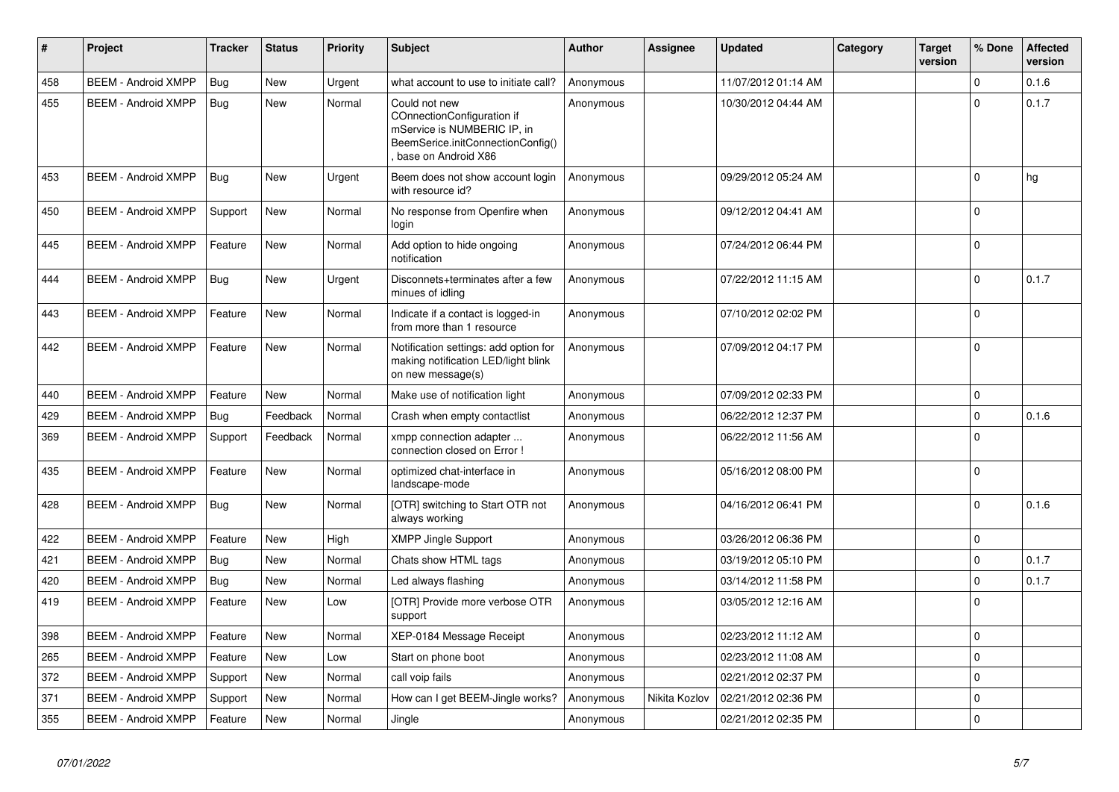| #   | Project                    | <b>Tracker</b> | <b>Status</b> | Priority | <b>Subject</b>                                                                                                                         | <b>Author</b> | <b>Assignee</b> | <b>Updated</b>      | Category | Target<br>version | % Done      | <b>Affected</b><br>version |
|-----|----------------------------|----------------|---------------|----------|----------------------------------------------------------------------------------------------------------------------------------------|---------------|-----------------|---------------------|----------|-------------------|-------------|----------------------------|
| 458 | <b>BEEM - Android XMPP</b> | Bug            | <b>New</b>    | Urgent   | what account to use to initiate call?                                                                                                  | Anonymous     |                 | 11/07/2012 01:14 AM |          |                   | $\mathbf 0$ | 0.1.6                      |
| 455 | <b>BEEM - Android XMPP</b> | Bug            | <b>New</b>    | Normal   | Could not new<br>COnnectionConfiguration if<br>mService is NUMBERIC IP, in<br>BeemSerice.initConnectionConfig()<br>base on Android X86 | Anonymous     |                 | 10/30/2012 04:44 AM |          |                   | $\Omega$    | 0.1.7                      |
| 453 | <b>BEEM - Android XMPP</b> | Bug            | <b>New</b>    | Urgent   | Beem does not show account login<br>with resource id?                                                                                  | Anonymous     |                 | 09/29/2012 05:24 AM |          |                   | $\Omega$    | hg                         |
| 450 | <b>BEEM - Android XMPP</b> | Support        | <b>New</b>    | Normal   | No response from Openfire when<br>login                                                                                                | Anonymous     |                 | 09/12/2012 04:41 AM |          |                   | $\Omega$    |                            |
| 445 | <b>BEEM - Android XMPP</b> | Feature        | <b>New</b>    | Normal   | Add option to hide ongoing<br>notification                                                                                             | Anonymous     |                 | 07/24/2012 06:44 PM |          |                   | $\mathbf 0$ |                            |
| 444 | <b>BEEM - Android XMPP</b> | Bua            | <b>New</b>    | Urgent   | Disconnets+terminates after a few<br>minues of idling                                                                                  | Anonymous     |                 | 07/22/2012 11:15 AM |          |                   | $\Omega$    | 0.1.7                      |
| 443 | <b>BEEM - Android XMPP</b> | Feature        | <b>New</b>    | Normal   | Indicate if a contact is logged-in<br>from more than 1 resource                                                                        | Anonymous     |                 | 07/10/2012 02:02 PM |          |                   | $\mathbf 0$ |                            |
| 442 | <b>BEEM - Android XMPP</b> | Feature        | <b>New</b>    | Normal   | Notification settings: add option for<br>making notification LED/light blink<br>on new message(s)                                      | Anonymous     |                 | 07/09/2012 04:17 PM |          |                   | $\Omega$    |                            |
| 440 | <b>BEEM - Android XMPP</b> | Feature        | <b>New</b>    | Normal   | Make use of notification light                                                                                                         | Anonymous     |                 | 07/09/2012 02:33 PM |          |                   | $\mathbf 0$ |                            |
| 429 | <b>BEEM - Android XMPP</b> | Bug            | Feedback      | Normal   | Crash when empty contactlist                                                                                                           | Anonymous     |                 | 06/22/2012 12:37 PM |          |                   | $\mathbf 0$ | 0.1.6                      |
| 369 | <b>BEEM - Android XMPP</b> | Support        | Feedback      | Normal   | xmpp connection adapter<br>connection closed on Error !                                                                                | Anonymous     |                 | 06/22/2012 11:56 AM |          |                   | $\Omega$    |                            |
| 435 | <b>BEEM - Android XMPP</b> | Feature        | <b>New</b>    | Normal   | optimized chat-interface in<br>landscape-mode                                                                                          | Anonymous     |                 | 05/16/2012 08:00 PM |          |                   | $\Omega$    |                            |
| 428 | <b>BEEM - Android XMPP</b> | Bug            | <b>New</b>    | Normal   | [OTR] switching to Start OTR not<br>always working                                                                                     | Anonymous     |                 | 04/16/2012 06:41 PM |          |                   | $\Omega$    | 0.1.6                      |
| 422 | <b>BEEM - Android XMPP</b> | Feature        | <b>New</b>    | High     | <b>XMPP Jingle Support</b>                                                                                                             | Anonymous     |                 | 03/26/2012 06:36 PM |          |                   | $\mathbf 0$ |                            |
| 421 | <b>BEEM - Android XMPP</b> | Bua            | <b>New</b>    | Normal   | Chats show HTML tags                                                                                                                   | Anonymous     |                 | 03/19/2012 05:10 PM |          |                   | $\Omega$    | 0.1.7                      |
| 420 | <b>BEEM - Android XMPP</b> | Bug            | <b>New</b>    | Normal   | Led always flashing                                                                                                                    | Anonymous     |                 | 03/14/2012 11:58 PM |          |                   | $\mathbf 0$ | 0.1.7                      |
| 419 | <b>BEEM - Android XMPP</b> | Feature        | <b>New</b>    | Low      | [OTR] Provide more verbose OTR<br>support                                                                                              | Anonymous     |                 | 03/05/2012 12:16 AM |          |                   | $\Omega$    |                            |
| 398 | <b>BEEM - Android XMPP</b> | Feature        | <b>New</b>    | Normal   | XEP-0184 Message Receipt                                                                                                               | Anonymous     |                 | 02/23/2012 11:12 AM |          |                   | $\mathbf 0$ |                            |
| 265 | <b>BEEM - Android XMPP</b> | Feature        | <b>New</b>    | Low      | Start on phone boot                                                                                                                    | Anonymous     |                 | 02/23/2012 11:08 AM |          |                   | $\mathbf 0$ |                            |
| 372 | <b>BEEM - Android XMPP</b> | Support        | New           | Normal   | call voip fails                                                                                                                        | Anonymous     |                 | 02/21/2012 02:37 PM |          |                   | $\Omega$    |                            |
| 371 | <b>BEEM - Android XMPP</b> | Support        | <b>New</b>    | Normal   | How can I get BEEM-Jingle works?                                                                                                       | Anonymous     | Nikita Kozlov   | 02/21/2012 02:36 PM |          |                   | $\mathbf 0$ |                            |
| 355 | <b>BEEM - Android XMPP</b> | Feature        | New           | Normal   | Jingle                                                                                                                                 | Anonymous     |                 | 02/21/2012 02:35 PM |          |                   | 0           |                            |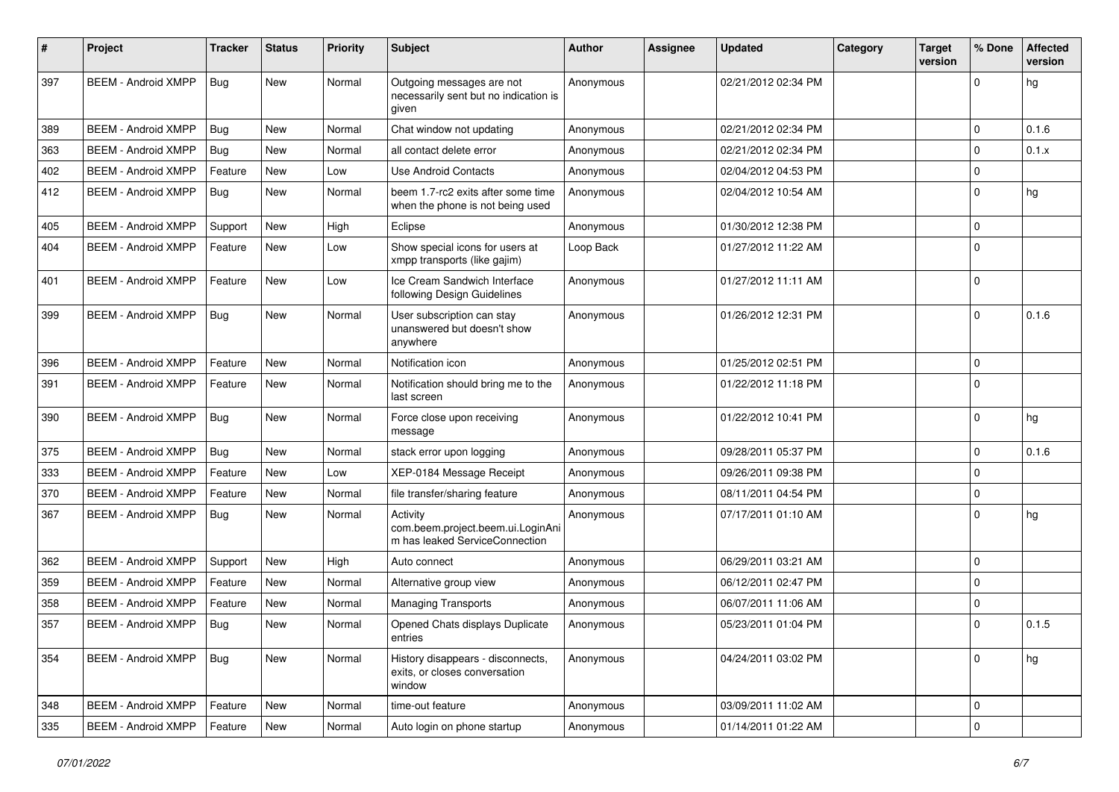| #   | Project                    | <b>Tracker</b> | <b>Status</b> | <b>Priority</b> | Subject                                                                         | Author    | Assignee | <b>Updated</b>      | Category | <b>Target</b><br>version | % Done      | <b>Affected</b><br>version |
|-----|----------------------------|----------------|---------------|-----------------|---------------------------------------------------------------------------------|-----------|----------|---------------------|----------|--------------------------|-------------|----------------------------|
| 397 | <b>BEEM - Android XMPP</b> | Bug            | New           | Normal          | Outgoing messages are not<br>necessarily sent but no indication is<br>given     | Anonymous |          | 02/21/2012 02:34 PM |          |                          | $\Omega$    | hg                         |
| 389 | <b>BEEM - Android XMPP</b> | Bug            | New           | Normal          | Chat window not updating                                                        | Anonymous |          | 02/21/2012 02:34 PM |          |                          | 0           | 0.1.6                      |
| 363 | <b>BEEM - Android XMPP</b> | Bug            | New           | Normal          | all contact delete error                                                        | Anonymous |          | 02/21/2012 02:34 PM |          |                          | $\Omega$    | 0.1.x                      |
| 402 | <b>BEEM - Android XMPP</b> | Feature        | <b>New</b>    | Low             | Use Android Contacts                                                            | Anonymous |          | 02/04/2012 04:53 PM |          |                          | $\mathbf 0$ |                            |
| 412 | <b>BEEM - Android XMPP</b> | Bug            | <b>New</b>    | Normal          | beem 1.7-rc2 exits after some time<br>when the phone is not being used          | Anonymous |          | 02/04/2012 10:54 AM |          |                          | $\mathbf 0$ | hg                         |
| 405 | <b>BEEM - Android XMPP</b> | Support        | New           | High            | Eclipse                                                                         | Anonymous |          | 01/30/2012 12:38 PM |          |                          | $\mathbf 0$ |                            |
| 404 | <b>BEEM - Android XMPP</b> | Feature        | <b>New</b>    | Low             | Show special icons for users at<br>xmpp transports (like gajim)                 | Loop Back |          | 01/27/2012 11:22 AM |          |                          | $\Omega$    |                            |
| 401 | <b>BEEM - Android XMPP</b> | Feature        | New           | Low             | Ice Cream Sandwich Interface<br>following Design Guidelines                     | Anonymous |          | 01/27/2012 11:11 AM |          |                          | $\Omega$    |                            |
| 399 | <b>BEEM - Android XMPP</b> | Bug            | <b>New</b>    | Normal          | User subscription can stay<br>unanswered but doesn't show<br>anywhere           | Anonymous |          | 01/26/2012 12:31 PM |          |                          | $\Omega$    | 0.1.6                      |
| 396 | <b>BEEM - Android XMPP</b> | Feature        | <b>New</b>    | Normal          | Notification icon                                                               | Anonymous |          | 01/25/2012 02:51 PM |          |                          | $\mathbf 0$ |                            |
| 391 | <b>BEEM - Android XMPP</b> | Feature        | <b>New</b>    | Normal          | Notification should bring me to the<br>last screen                              | Anonymous |          | 01/22/2012 11:18 PM |          |                          | $\Omega$    |                            |
| 390 | <b>BEEM - Android XMPP</b> | Bug            | New           | Normal          | Force close upon receiving<br>message                                           | Anonymous |          | 01/22/2012 10:41 PM |          |                          | $\mathbf 0$ | hg                         |
| 375 | <b>BEEM - Android XMPP</b> | Bug            | New           | Normal          | stack error upon logging                                                        | Anonymous |          | 09/28/2011 05:37 PM |          |                          | $\Omega$    | 0.1.6                      |
| 333 | <b>BEEM - Android XMPP</b> | Feature        | New           | Low             | XEP-0184 Message Receipt                                                        | Anonymous |          | 09/26/2011 09:38 PM |          |                          | 0           |                            |
| 370 | <b>BEEM - Android XMPP</b> | Feature        | <b>New</b>    | Normal          | file transfer/sharing feature                                                   | Anonymous |          | 08/11/2011 04:54 PM |          |                          | $\mathbf 0$ |                            |
| 367 | <b>BEEM - Android XMPP</b> | <b>Bug</b>     | New           | Normal          | Activity<br>com.beem.project.beem.ui.LoginAni<br>m has leaked ServiceConnection | Anonymous |          | 07/17/2011 01:10 AM |          |                          | $\Omega$    | hg                         |
| 362 | <b>BEEM - Android XMPP</b> | Support        | <b>New</b>    | High            | Auto connect                                                                    | Anonymous |          | 06/29/2011 03:21 AM |          |                          | $\mathbf 0$ |                            |
| 359 | <b>BEEM - Android XMPP</b> | Feature        | New           | Normal          | Alternative group view                                                          | Anonymous |          | 06/12/2011 02:47 PM |          |                          | $\mathbf 0$ |                            |
| 358 | <b>BEEM - Android XMPP</b> | Feature        | New           | Normal          | <b>Managing Transports</b>                                                      | Anonymous |          | 06/07/2011 11:06 AM |          |                          | $\mathbf 0$ |                            |
| 357 | <b>BEEM - Android XMPP</b> | Bug            | <b>New</b>    | Normal          | Opened Chats displays Duplicate<br>entries                                      | Anonymous |          | 05/23/2011 01:04 PM |          |                          | $\Omega$    | 0.1.5                      |
| 354 | <b>BEEM - Android XMPP</b> | Bug            | <b>New</b>    | Normal          | History disappears - disconnects,<br>exits, or closes conversation<br>window    | Anonymous |          | 04/24/2011 03:02 PM |          |                          | $\mathbf 0$ | hg                         |
| 348 | <b>BEEM - Android XMPP</b> | Feature        | <b>New</b>    | Normal          | time-out feature                                                                | Anonymous |          | 03/09/2011 11:02 AM |          |                          | 0           |                            |
| 335 | <b>BEEM - Android XMPP</b> | Feature        | New           | Normal          | Auto login on phone startup                                                     | Anonymous |          | 01/14/2011 01:22 AM |          |                          | $\mathbf 0$ |                            |